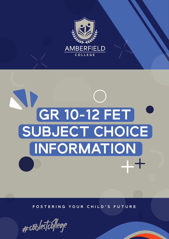

# ND **GR 10-12 FET SUBJECT CHOICE INFORMATION**

**FOSTERING YOUR CHILD'S FUTURE**

#coolestcollege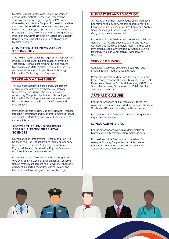Medical Support Professions. Some Universities accept Mathematical Literacy for Occupational Therapy (UCT). For Psychology, Social Workers, Counselling and Medical Support Professions, Mathematics or Mathematical Literacy is compulsory and Life Sciences or Physical Sciences are recommended. Professions in this field include the following: Medical Practitioners, Ophthalmology or Optometry Support, Dentistry and Support, Health Care, Biology and Medical Research.

#### **COMPUTER AND INFORMATION TECHNOLOGY**

This field of study generally requires Mathematics and Physical Sciences and, in some cases, Information Technology. Technical training institutions require Mathematics or Mathematical Literacy, English and recommend Computer Applications Technology, Information Technology and Economics.

## **TRADE AND MANAGEMENT**

The Business Industry, Finance and Management require Mathematics or Mathematical Literacy. Subjects such as Business Studies, Economics, Accounting, Computer Applications Technology or Information Technology are also recommended. All BCom degrees require English or Afrikaans and Mathematics.

Professions in this field include the following: Finances, including Accountants and Auditors; Commercial Trade and Industry; Marketing and Sales; Human Resources and Administration.

#### **AGRICULTURE, ENVIRONMENTAL AFFAIRS AND GEOGRAPHICAL SCIENCES**

Mathematics or Mathematical Literacy and / or Life Sciences and / or Geography are usually compulsory for careers in this field. A BSc degree requires English, Afrikaans, Mathematics, Physical Sciences etc. Life Sciences is recommended.

Professions in this field include the following: Agriculture and Farming, Zoology, Environmental Conservation or Waste Management and Recycling, Landscape Architecture and Horticulture, Marine Biology and Ocean Technology, Geography and Archeology.

# **HUMANITIES AND EDUCATION**

Afrikaans and English, Mathematics or Mathematical Literacy are compulsory for this professional field. Languages, Life Sciences, Tourism, Computer Applications Technology, History, Business Studies and Geography are recommended.

Professions in this field include the following: Education and Training and Educare, Sports and Fitness, Cosmetology, Religious Studies, History and Cultural Professions such as Anthropology, Antique Dealing, Iconology, Museum Curatorship, Philosophy or Sociology.

### **SERVICE DELIVERY**

Compulsory subjects are Afrikaans, English and Mathematics or Mathematica Literacy.

Professions in this field include: Travel and Tourism, Hotel Management and Hospitality, Aviation, National Defences such as the South African Army (SADF), the South African Navy, Government or Public Services, Safety and Security.

# **ARTS AND CULTURE**

English or Afrikaans or Mathematical Literacy are compulsory. Other recommended subjects are Business Studies and Drama, depending on the individual.

Professions in this field include the following: Publishing and Entertainment.

## **LANGUAGE AND LAW**

English or Afrikaans, as well as Mathematics or Mathematical Literacy are compulsory subjects.

Professions in this field include Journalism, for example Writers, Copywriters and Interpreters. Careers in law include Advocates, Attorney or Supportive Legal Professions.